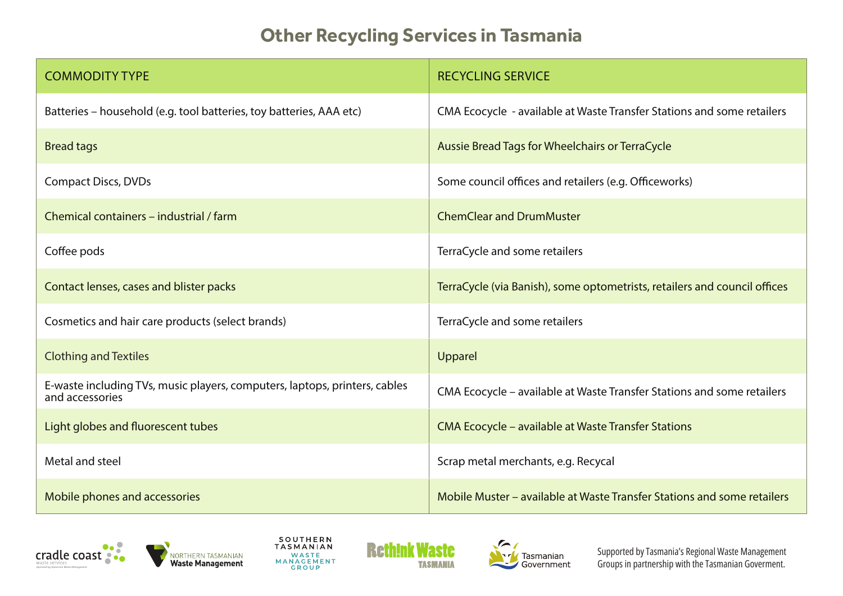## **Other Recycling Services in Tasmania**

| <b>COMMODITY TYPE</b>                                                                         | <b>RECYCLING SERVICE</b>                                                  |
|-----------------------------------------------------------------------------------------------|---------------------------------------------------------------------------|
| Batteries - household (e.g. tool batteries, toy batteries, AAA etc)                           | CMA Ecocycle - available at Waste Transfer Stations and some retailers    |
| <b>Bread tags</b>                                                                             | Aussie Bread Tags for Wheelchairs or TerraCycle                           |
| <b>Compact Discs, DVDs</b>                                                                    | Some council offices and retailers (e.g. Officeworks)                     |
| Chemical containers – industrial / farm                                                       | <b>ChemClear and DrumMuster</b>                                           |
| Coffee pods                                                                                   | TerraCycle and some retailers                                             |
| Contact lenses, cases and blister packs                                                       | TerraCycle (via Banish), some optometrists, retailers and council offices |
| Cosmetics and hair care products (select brands)                                              | TerraCycle and some retailers                                             |
| <b>Clothing and Textiles</b>                                                                  | Upparel                                                                   |
| E-waste including TVs, music players, computers, laptops, printers, cables<br>and accessories | CMA Ecocycle - available at Waste Transfer Stations and some retailers    |
| Light globes and fluorescent tubes                                                            | <b>CMA Ecocycle - available at Waste Transfer Stations</b>                |
| Metal and steel                                                                               | Scrap metal merchants, e.g. Recycal                                       |
| Mobile phones and accessories                                                                 | Mobile Muster – available at Waste Transfer Stations and some retailers   |











Supported by Tasmania's Regional Waste Management Groups in partnership with the Tasmanian Goverment.